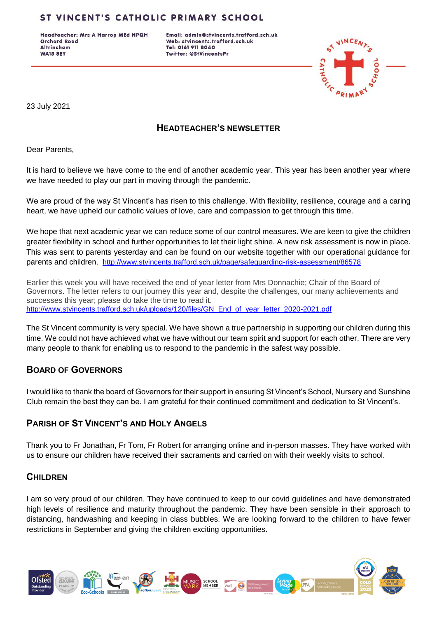## ST VINCENT'S CATHOLIC PRIMARY SCHOOL

Headteacher: Mrs A Harrop MEd NPQH **Orchard Road Altrincham WA15 8EY** 

Email: admin@stvincents.trafford.sch.uk Web: stvincents.trafford.sch.uk Tel: 0161 911 8040 Twitter: @StVincentsPr



23 July 2021

## **HEADTEACHER'S NEWSLETTER**

Dear Parents,

It is hard to believe we have come to the end of another academic year. This year has been another year where we have needed to play our part in moving through the pandemic.

We are proud of the way St Vincent's has risen to this challenge. With flexibility, resilience, courage and a caring heart, we have upheld our catholic values of love, care and compassion to get through this time.

We hope that next academic year we can reduce some of our control measures. We are keen to give the children greater flexibility in school and further opportunities to let their light shine. A new risk assessment is now in place. This was sent to parents yesterday and can be found on our website together with our operational guidance for parents and children. <http://www.stvincents.trafford.sch.uk/page/safeguarding-risk-assessment/86578>

Earlier this week you will have received the end of year letter from Mrs Donnachie; Chair of the Board of Governors. The letter refers to our journey this year and, despite the challenges, our many achievements and successes this year; please do take the time to read it. [http://www.stvincents.trafford.sch.uk/uploads/120/files/GN\\_End\\_of\\_year\\_letter\\_2020-2021.pdf](http://www.stvincents.trafford.sch.uk/uploads/120/files/GN_End_of_year_letter_2020-2021.pdf)

The St Vincent community is very special. We have shown a true partnership in supporting our children during this time. We could not have achieved what we have without our team spirit and support for each other. There are very many people to thank for enabling us to respond to the pandemic in the safest way possible.

#### **BOARD OF GOVERNORS**

I would like to thank the board of Governors for their support in ensuring St Vincent's School, Nursery and Sunshine Club remain the best they can be. I am grateful for their continued commitment and dedication to St Vincent's.

#### **PARISH OF ST VINCENT'S AND HOLY ANGELS**

Thank you to Fr Jonathan, Fr Tom, Fr Robert for arranging online and in-person masses. They have worked with us to ensure our children have received their sacraments and carried on with their weekly visits to school.

#### **CHILDREN**

I am so very proud of our children. They have continued to keep to our covid guidelines and have demonstrated high levels of resilience and maturity throughout the pandemic. They have been sensible in their approach to distancing, handwashing and keeping in class bubbles. We are looking forward to the children to have fewer restrictions in September and giving the children exciting opportunities.